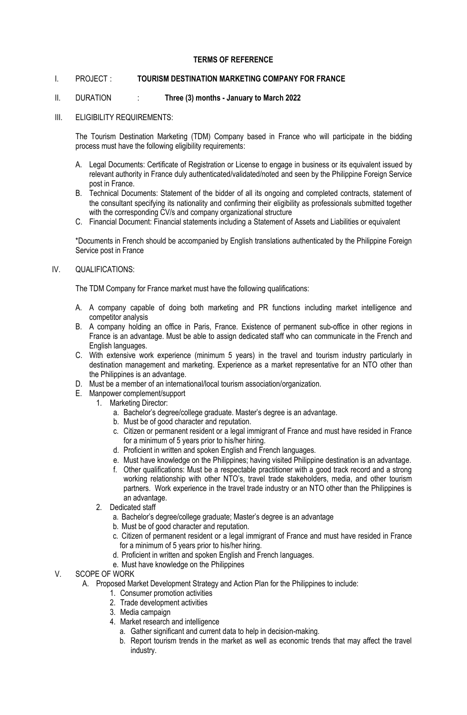### **TERMS OF REFERENCE**

### I. PROJECT : **TOURISM DESTINATION MARKETING COMPANY FOR FRANCE**

#### II. DURATION : **Three (3) months - January to March 2022**

III. ELIGIBILITY REQUIREMENTS:

The Tourism Destination Marketing (TDM) Company based in France who will participate in the bidding process must have the following eligibility requirements:

- A. Legal Documents: Certificate of Registration or License to engage in business or its equivalent issued by relevant authority in France duly authenticated/validated/noted and seen by the Philippine Foreign Service post in France.
- B. Technical Documents: Statement of the bidder of all its ongoing and completed contracts, statement of the consultant specifying its nationality and confirming their eligibility as professionals submitted together with the corresponding CV/s and company organizational structure
- C. Financial Document: Financial statements including a Statement of Assets and Liabilities or equivalent

\*Documents in French should be accompanied by English translations authenticated by the Philippine Foreign Service post in France

### IV. QUALIFICATIONS:

The TDM Company for France market must have the following qualifications:

- A. A company capable of doing both marketing and PR functions including market intelligence and competitor analysis
- B. A company holding an office in Paris, France. Existence of permanent sub-office in other regions in France is an advantage. Must be able to assign dedicated staff who can communicate in the French and English languages.
- C. With extensive work experience (minimum 5 years) in the travel and tourism industry particularly in destination management and marketing. Experience as a market representative for an NTO other than the Philippines is an advantage.
- D. Must be a member of an international/local tourism association/organization.
- E. Manpower complement/support
	- 1. Marketing Director:
		- a. Bachelor's degree/college graduate. Master's degree is an advantage.
		- b. Must be of good character and reputation.
		- c. Citizen or permanent resident or a legal immigrant of France and must have resided in France for a minimum of 5 years prior to his/her hiring.
		- d. Proficient in written and spoken English and French languages.
		- e. Must have knowledge on the Philippines; having visited Philippine destination is an advantage.
		- f. Other qualifications: Must be a respectable practitioner with a good track record and a strong working relationship with other NTO's, travel trade stakeholders, media, and other tourism partners. Work experience in the travel trade industry or an NTO other than the Philippines is an advantage.
	- 2. Dedicated staff
		- a. Bachelor's degree/college graduate; Master's degree is an advantage
		- b. Must be of good character and reputation.
		- c. Citizen of permanent resident or a legal immigrant of France and must have resided in France for a minimum of 5 years prior to his/her hiring.
		- d. Proficient in written and spoken English and French languages.
		- e. Must have knowledge on the Philippines

# V. SCOPE OF WORK

- A. Proposed Market Development Strategy and Action Plan for the Philippines to include:
	- 1. Consumer promotion activities
		- 2. Trade development activities
		- 3. Media campaign
		- 4. Market research and intelligence
			- a. Gather significant and current data to help in decision-making.
			- b. Report tourism trends in the market as well as economic trends that may affect the travel industry.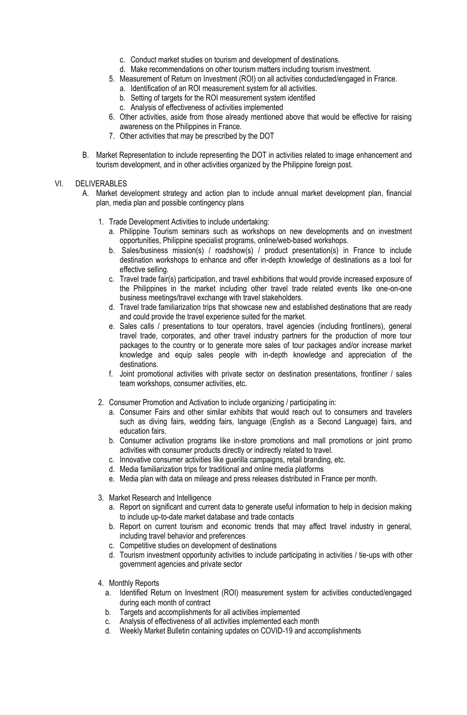- c. Conduct market studies on tourism and development of destinations.
- d. Make recommendations on other tourism matters including tourism investment.
- 5. Measurement of Return on Investment (ROI) on all activities conducted/engaged in France.
	- a. Identification of an ROI measurement system for all activities.
	- b. Setting of targets for the ROI measurement system identified
	- c. Analysis of effectiveness of activities implemented
- 6. Other activities, aside from those already mentioned above that would be effective for raising awareness on the Philippines in France.
- 7. Other activities that may be prescribed by the DOT
- B. Market Representation to include representing the DOT in activities related to image enhancement and tourism development, and in other activities organized by the Philippine foreign post.

## VI. DELIVERABLES

- A. Market development strategy and action plan to include annual market development plan, financial plan, media plan and possible contingency plans
	- 1. Trade Development Activities to include undertaking:
		- a. Philippine Tourism seminars such as workshops on new developments and on investment opportunities, Philippine specialist programs, online/web-based workshops.
		- b. Sales/business mission(s) / roadshow(s) / product presentation(s) in France to include destination workshops to enhance and offer in-depth knowledge of destinations as a tool for effective selling.
		- c. Travel trade fair(s) participation, and travel exhibitions that would provide increased exposure of the Philippines in the market including other travel trade related events like one-on-one business meetings/travel exchange with travel stakeholders.
		- d. Travel trade familiarization trips that showcase new and established destinations that are ready and could provide the travel experience suited for the market.
		- e. Sales calls / presentations to tour operators, travel agencies (including frontliners), general travel trade, corporates, and other travel industry partners for the production of more tour packages to the country or to generate more sales of tour packages and/or increase market knowledge and equip sales people with in-depth knowledge and appreciation of the destinations.
		- f. Joint promotional activities with private sector on destination presentations, frontliner / sales team workshops, consumer activities, etc.
	- 2. Consumer Promotion and Activation to include organizing / participating in:
		- a. Consumer Fairs and other similar exhibits that would reach out to consumers and travelers such as diving fairs, wedding fairs, language (English as a Second Language) fairs, and education fairs.
		- b. Consumer activation programs like in-store promotions and mall promotions or joint promo activities with consumer products directly or indirectly related to travel.
		- c. Innovative consumer activities like guerilla campaigns, retail branding, etc.
		- d. Media familiarization trips for traditional and online media platforms
		- e. Media plan with data on mileage and press releases distributed in France per month.
	- 3. Market Research and Intelligence
		- a. Report on significant and current data to generate useful information to help in decision making to include up-to-date market database and trade contacts
		- b. Report on current tourism and economic trends that may affect travel industry in general, including travel behavior and preferences
		- c. Competitive studies on development of destinations
		- d. Tourism investment opportunity activities to include participating in activities / tie-ups with other government agencies and private sector
	- 4. Monthly Reports
		- a. Identified Return on Investment (ROI) measurement system for activities conducted/engaged during each month of contract
		- b. Targets and accomplishments for all activities implemented
		- c. Analysis of effectiveness of all activities implemented each month
		- d. Weekly Market Bulletin containing updates on COVID-19 and accomplishments